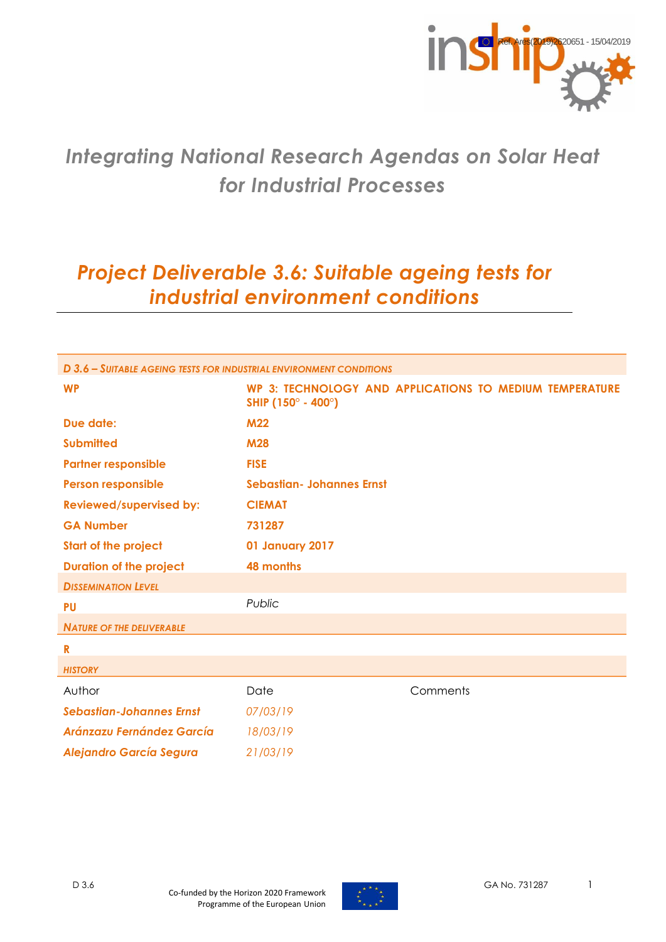

# *Integrating National Research Agendas on Solar Heat for Industrial Processes*

# *Project Deliverable 3.6: Suitable ageing tests for industrial environment conditions*

| D 3.6 - SUITABLE AGEING TESTS FOR INDUSTRIAL ENVIRONMENT CONDITIONS |                                  |                                                         |  |
|---------------------------------------------------------------------|----------------------------------|---------------------------------------------------------|--|
| <b>WP</b>                                                           | SHIP (150° - 400°)               | WP 3: TECHNOLOGY AND APPLICATIONS TO MEDIUM TEMPERATURE |  |
| Due date:                                                           | <b>M22</b>                       |                                                         |  |
| <b>Submitted</b>                                                    | <b>M28</b>                       |                                                         |  |
| <b>Partner responsible</b>                                          | <b>FISE</b>                      |                                                         |  |
| <b>Person responsible</b>                                           | <b>Sebastian- Johannes Ernst</b> |                                                         |  |
| <b>Reviewed/supervised by:</b>                                      | <b>CIEMAT</b>                    |                                                         |  |
| <b>GA Number</b>                                                    | 731287                           |                                                         |  |
| <b>Start of the project</b>                                         | 01 January 2017                  |                                                         |  |
| <b>Duration of the project</b>                                      | 48 months                        |                                                         |  |
| <b>DISSEMINATION LEVEL</b>                                          |                                  |                                                         |  |
| <b>PU</b>                                                           | Public                           |                                                         |  |
| <b>NATURE OF THE DELIVERABLE</b>                                    |                                  |                                                         |  |
| $\mathbf R$                                                         |                                  |                                                         |  |
| <b>HISTORY</b>                                                      |                                  |                                                         |  |
| Author                                                              | Date                             | Comments                                                |  |
| <b>Sebastian-Johannes Ernst</b>                                     | 07/03/19                         |                                                         |  |
| <b>Aránzazu Fernández García</b>                                    | 18/03/19                         |                                                         |  |
| <b>Alejandro García Segura</b>                                      | 21/03/19                         |                                                         |  |

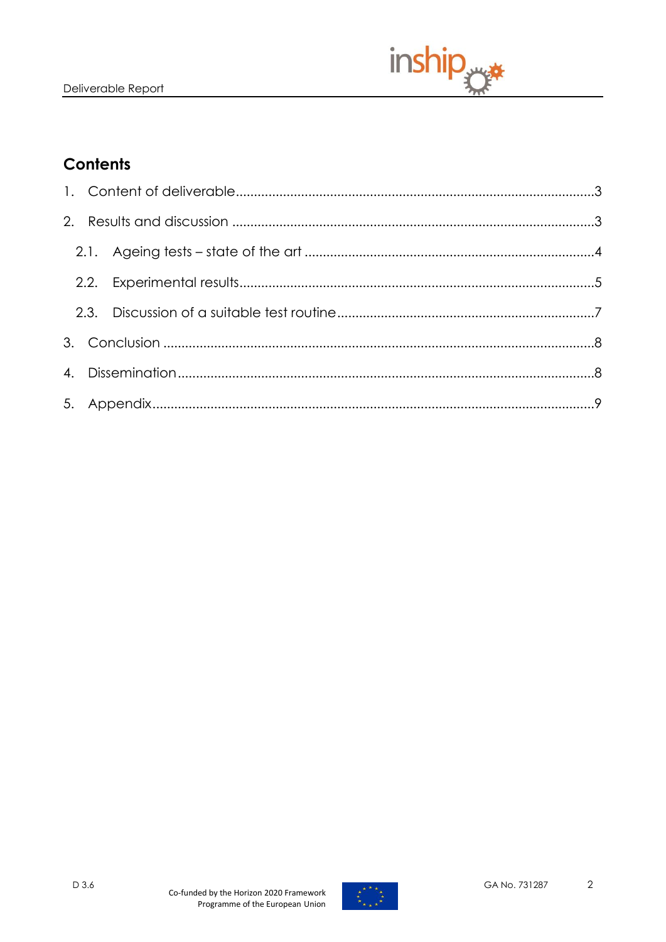

# **Contents**

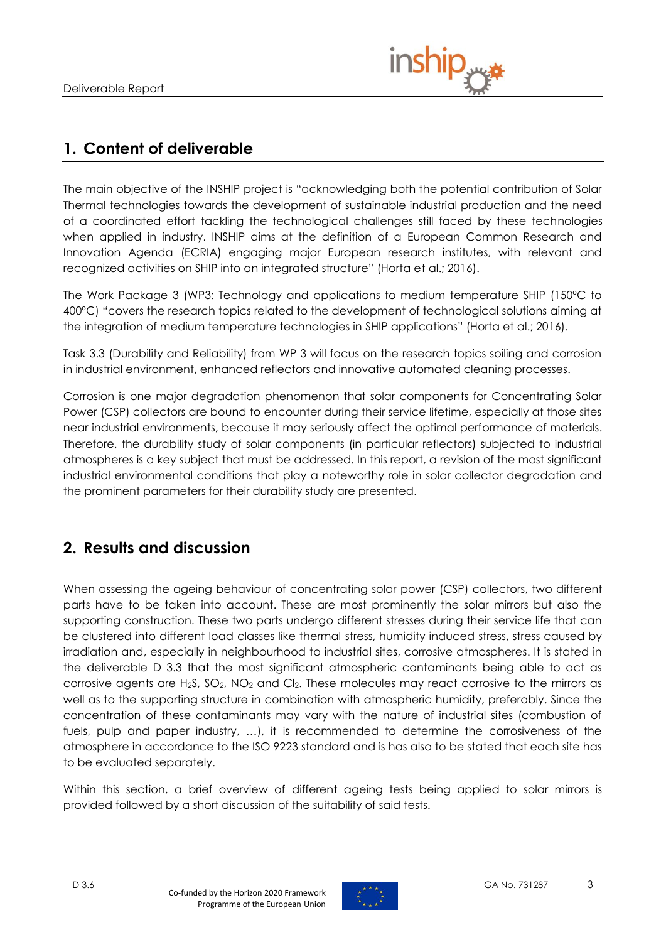

## <span id="page-2-0"></span>**1. Content of deliverable**

The main objective of the INSHIP project is "acknowledging both the potential contribution of Solar Thermal technologies towards the development of sustainable industrial production and the need of a coordinated effort tackling the technological challenges still faced by these technologies when applied in industry. INSHIP aims at the definition of a European Common Research and Innovation Agenda (ECRIA) engaging major European research institutes, with relevant and recognized activities on SHIP into an integrated structure" (Horta et al.; 2016).

The Work Package 3 (WP3: Technology and applications to medium temperature SHIP (150ºC to 400ºC) "covers the research topics related to the development of technological solutions aiming at the integration of medium temperature technologies in SHIP applications" (Horta et al.; 2016).

Task 3.3 (Durability and Reliability) from WP 3 will focus on the research topics soiling and corrosion in industrial environment, enhanced reflectors and innovative automated cleaning processes.

Corrosion is one major degradation phenomenon that solar components for Concentrating Solar Power (CSP) collectors are bound to encounter during their service lifetime, especially at those sites near industrial environments, because it may seriously affect the optimal performance of materials. Therefore, the durability study of solar components (in particular reflectors) subjected to industrial atmospheres is a key subject that must be addressed. In this report, a revision of the most significant industrial environmental conditions that play a noteworthy role in solar collector degradation and the prominent parameters for their durability study are presented.

## <span id="page-2-1"></span>**2. Results and discussion**

When assessing the ageing behaviour of concentrating solar power (CSP) collectors, two different parts have to be taken into account. These are most prominently the solar mirrors but also the supporting construction. These two parts undergo different stresses during their service life that can be clustered into different load classes like thermal stress, humidity induced stress, stress caused by irradiation and, especially in neighbourhood to industrial sites, corrosive atmospheres. It is stated in the deliverable D 3.3 that the most significant atmospheric contaminants being able to act as corrosive agents are H2S, SO2, NO<sup>2</sup> and Cl2. These molecules may react corrosive to the mirrors as well as to the supporting structure in combination with atmospheric humidity, preferably. Since the concentration of these contaminants may vary with the nature of industrial sites (combustion of fuels, pulp and paper industry, …), it is recommended to determine the corrosiveness of the atmosphere in accordance to the ISO 9223 standard and is has also to be stated that each site has to be evaluated separately.

Within this section, a brief overview of different ageing tests being applied to solar mirrors is provided followed by a short discussion of the suitability of said tests.

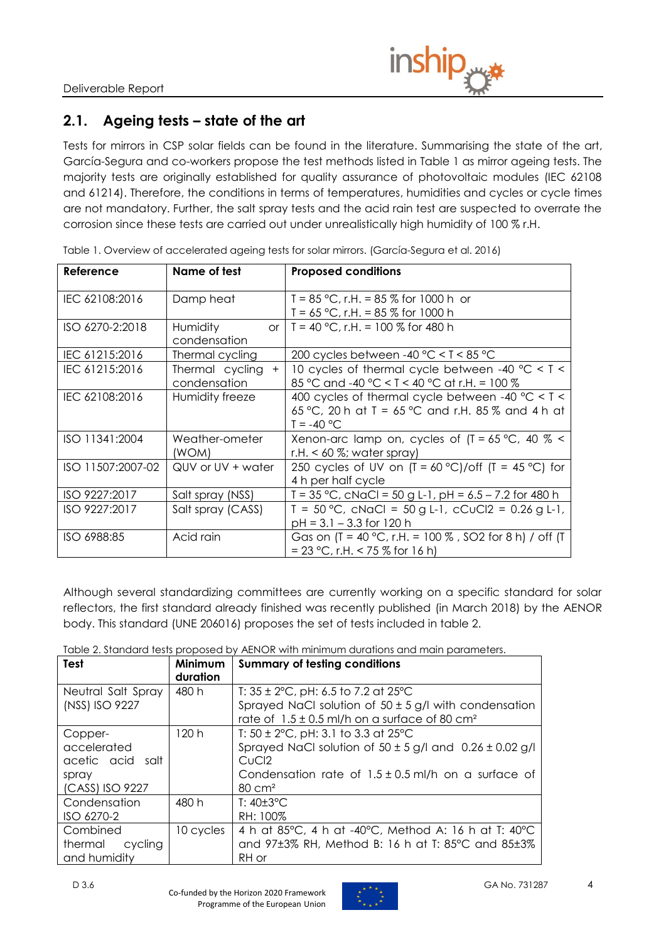

### <span id="page-3-0"></span>**2.1. Ageing tests – state of the art**

Tests for mirrors in CSP solar fields can be found in the literature. Summarising the state of the art, García-Segura and co-workers propose the test methods listed in Table 1 as mirror ageing tests. The majority tests are originally established for quality assurance of photovoltaic modules (IEC 62108 and 61214). Therefore, the conditions in terms of temperatures, humidities and cycles or cycle times are not mandatory. Further, the salt spray tests and the acid rain test are suspected to overrate the corrosion since these tests are carried out under unrealistically high humidity of 100 % r.H.

| Reference         | Name of test                           | <b>Proposed conditions</b>                                                                                              |
|-------------------|----------------------------------------|-------------------------------------------------------------------------------------------------------------------------|
| IEC 62108:2016    | Damp heat                              | T = $85^{\circ}$ C, r.H. = $85\%$ for 1000 h or<br>T = $65^{\circ}$ C, r.H. = $85\%$ for 1000 h                         |
| ISO 6270-2:2018   | Humidity<br>condensation               | or   T = 40 °C, r.H. = 100 % for 480 h                                                                                  |
| IEC 61215:2016    | Thermal cycling                        | 200 cycles between -40 $^{\circ}$ C < T < 85 $^{\circ}$ C                                                               |
| IEC 61215:2016    | Thermal cycling<br>$+$<br>condensation | 10 cycles of thermal cycle between -40 $^{\circ}$ C < T <<br>85 °C and -40 °C < T < 40 °C at r.H. = 100 %               |
| IEC 62108:2016    | Humidity freeze                        | 400 cycles of thermal cycle between -40 $°C < T <$<br>65 °C, 20 h at T = 65 °C and r.H. 85 % and 4 h at<br>$T = -40 °C$ |
| ISO 11341:2004    | Weather-ometer<br>(WOM)                | Xenon-arc lamp on, cycles of $[T = 65 °C, 40 % <$<br>r.H. $< 60$ %; water spray)                                        |
| ISO 11507:2007-02 | QUV or UV + water                      | 250 cycles of UV on $(T = 60 °C)/off$ $(T = 45 °C)$ for<br>4 h per half cycle                                           |
| ISO 9227:2017     | Salt spray (NSS)                       | T = $35^{\circ}$ C, cNaCl = $50$ g L-1, pH = $6.5 - 7.2$ for 480 h                                                      |
| ISO 9227:2017     | Salt spray (CASS)                      | $T = 50 °C$ , cNaCl = 50 g L-1, cCuCl2 = 0.26 g L-1,<br>$pH = 3.1 - 3.3$ for 120 h                                      |
| ISO 6988:85       | Acid rain                              | Gas on $(T = 40 °C, r.H. = 100 %$ , SO2 for 8 h) / off (T<br>= 23 °C, r.H. < 75 % for 16 h)                             |

Table 1. Overview of accelerated ageing tests for solar mirrors. (García-Segura et al. 2016)

Although several standardizing committees are currently working on a specific standard for solar reflectors, the first standard already finished was recently published (in March 2018) by the AENOR body. This standard (UNE 206016) proposes the set of tests included in table 2.

Table 2. Standard tests proposed by AENOR with minimum durations and main parameters.

| <b>Test</b>                                                            | Minimum<br>duration | <b>Summary of testing conditions</b>                                                                                                                                                                                                                                                               |
|------------------------------------------------------------------------|---------------------|----------------------------------------------------------------------------------------------------------------------------------------------------------------------------------------------------------------------------------------------------------------------------------------------------|
| Neutral Salt Spray<br>(NSS) ISO 9227                                   | 480 h               | T: $35 \pm 2^{\circ}$ C, pH: 6.5 to 7.2 at 25 $^{\circ}$ C<br>Sprayed NaCl solution of $50 \pm 5$ g/l with condensation                                                                                                                                                                            |
| Copper-<br>accelerated<br>acetic acid salt<br>spray<br>(CASS) ISO 9227 | 120 h               | rate of $1.5 \pm 0.5$ ml/h on a surface of 80 cm <sup>2</sup><br>T: $50 \pm 2^{\circ}$ C, pH: 3.1 to 3.3 at 25 $^{\circ}$ C<br>Sprayed NaCl solution of $50 \pm 5$ g/l and $0.26 \pm 0.02$ g/l<br>CuC <sub>2</sub><br>Condensation rate of $1.5 \pm 0.5$ ml/h on a surface of<br>$80 \text{ cm}^2$ |
| Condensation<br>ISO 6270-2                                             | 480 h               | $T: 40 \pm 3$ °C<br>RH: 100%                                                                                                                                                                                                                                                                       |
| Combined<br>thermal cycling<br>and humidity                            | 10 cycles           | 4 h at 85°C, 4 h at -40°C, Method A: 16 h at T: 40°C<br>and 97±3% RH, Method B: 16 h at T: 85°C and 85±3%<br>RH or                                                                                                                                                                                 |

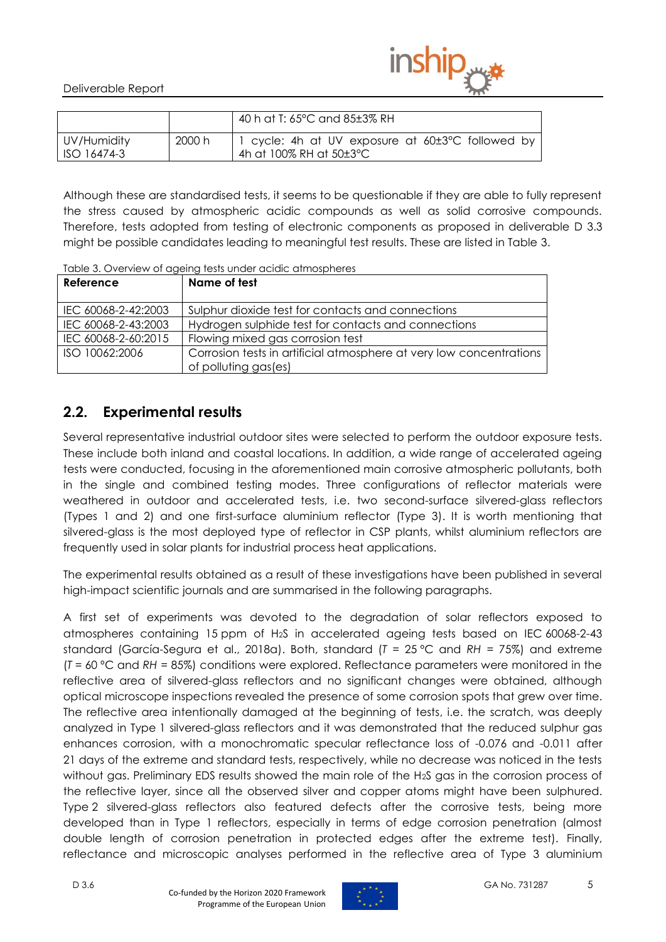

|                            |        | 40 h at T: 65°C and 85±3% RH                                                           |
|----------------------------|--------|----------------------------------------------------------------------------------------|
| UV/Humidity<br>ISO 16474-3 | 2000 h | 1 cycle: 4h at UV exposure at 60±3°C followed by<br>4h at 100% RH at $50\pm3\degree$ C |

Although these are standardised tests, it seems to be questionable if they are able to fully represent the stress caused by atmospheric acidic compounds as well as solid corrosive compounds. Therefore, tests adopted from testing of electronic components as proposed in deliverable D 3.3 might be possible candidates leading to meaningful test results. These are listed in Table 3.

| Reference           | Name of test                                                        |
|---------------------|---------------------------------------------------------------------|
| IEC 60068-2-42:2003 | Sulphur dioxide test for contacts and connections                   |
| IEC 60068-2-43:2003 | Hydrogen sulphide test for contacts and connections                 |
| IEC 60068-2-60:2015 | Flowing mixed gas corrosion test                                    |
| ISO 10062:2006      | Corrosion tests in artificial atmosphere at very low concentrations |
|                     | of polluting gas(es)                                                |

<span id="page-4-1"></span>Table 3. Overview of ageing tests under acidic atmospheres

### <span id="page-4-0"></span>**2.2. Experimental results**

Several representative industrial outdoor sites were selected to perform the outdoor exposure tests. These include both inland and coastal locations. In addition, a wide range of accelerated ageing tests were conducted, focusing in the aforementioned main corrosive atmospheric pollutants, both in the single and combined testing modes. Three configurations of reflector materials were weathered in outdoor and accelerated tests, i.e. two second-surface silvered-glass reflectors (Types 1 and 2) and one first-surface aluminium reflector (Type 3). It is worth mentioning that silvered-glass is the most deployed type of reflector in CSP plants, whilst aluminium reflectors are frequently used in solar plants for industrial process heat applications.

The experimental results obtained as a result of these investigations have been published in several high-impact scientific journals and are summarised in the following paragraphs.

A first set of experiments was devoted to the degradation of solar reflectors exposed to atmospheres containing 15 ppm of H2S in accelerated ageing tests based on IEC 60068-2-43 standard (García-Segura et al., 2018a). Both, standard (*T* = 25 ºC and *RH* = 75%) and extreme (*T* = 60 ºC and *RH* = 85%) conditions were explored. Reflectance parameters were monitored in the reflective area of silvered-glass reflectors and no significant changes were obtained, although optical microscope inspections revealed the presence of some corrosion spots that grew over time. The reflective area intentionally damaged at the beginning of tests, i.e. the scratch, was deeply analyzed in Type 1 silvered-glass reflectors and it was demonstrated that the reduced sulphur gas enhances corrosion, with a monochromatic specular reflectance loss of -0.076 and -0.011 after 21 days of the extreme and standard tests, respectively, while no decrease was noticed in the tests without gas. Preliminary EDS results showed the main role of the H<sub>2</sub>S gas in the corrosion process of the reflective layer, since all the observed silver and copper atoms might have been sulphured. Type 2 silvered-glass reflectors also featured defects after the corrosive tests, being more developed than in Type 1 reflectors, especially in terms of edge corrosion penetration (almost double length of corrosion penetration in protected edges after the extreme test). Finally, reflectance and microscopic analyses performed in the reflective area of Type 3 aluminium

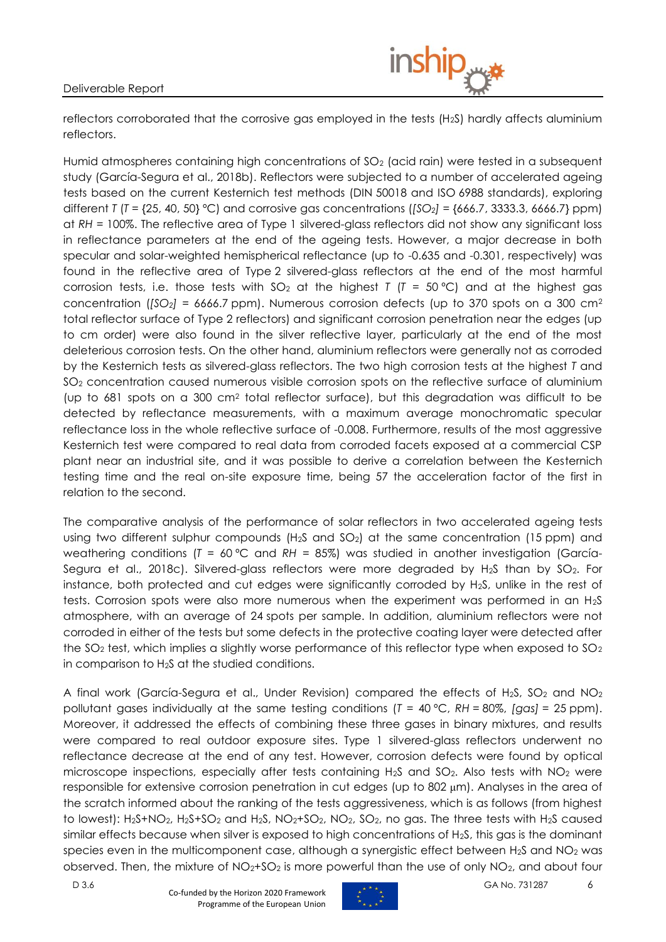

reflectors corroborated that the corrosive gas employed in the tests (H2S) hardly affects aluminium reflectors.

Humid atmospheres containing high concentrations of  $SO<sub>2</sub>$  (acid rain) were tested in a subsequent study (García-Segura et al., 2018b). Reflectors were subjected to a number of accelerated ageing tests based on the current Kesternich test methods (DIN 50018 and ISO 6988 standards), exploring different *T* (*T* = {25, 40, 50} °C) and corrosive gas concentrations ( $[SO_2] = \{666.7, 3333.3, 6666.7\}$  ppm) at *RH* = 100%. The reflective area of Type 1 silvered-glass reflectors did not show any significant loss in reflectance parameters at the end of the ageing tests. However, a major decrease in both specular and solar-weighted hemispherical reflectance (up to -0.635 and -0.301, respectively) was found in the reflective area of Type 2 silvered-glass reflectors at the end of the most harmful corrosion tests, i.e. those tests with  $SO_2$  at the highest *T* ( $T = 50$  °C) and at the highest gas concentration (*[SO2]* = 6666.7 ppm). Numerous corrosion defects (up to 370 spots on a 300 cm<sup>2</sup> total reflector surface of Type 2 reflectors) and significant corrosion penetration near the edges (up to cm order) were also found in the silver reflective layer, particularly at the end of the most deleterious corrosion tests. On the other hand, aluminium reflectors were generally not as corroded by the Kesternich tests as silvered-glass reflectors. The two high corrosion tests at the highest *T* and SO<sub>2</sub> concentration caused numerous visible corrosion spots on the reflective surface of aluminium (up to 681 spots on a 300 cm<sup>2</sup> total reflector surface), but this degradation was difficult to be detected by reflectance measurements, with a maximum average monochromatic specular reflectance loss in the whole reflective surface of -0.008. Furthermore, results of the most aggressive Kesternich test were compared to real data from corroded facets exposed at a commercial CSP plant near an industrial site, and it was possible to derive a correlation between the Kesternich testing time and the real on-site exposure time, being 57 the acceleration factor of the first in relation to the second.

The comparative analysis of the performance of solar reflectors in two accelerated ageing tests using two different sulphur compounds  $(H<sub>2</sub>S$  and  $SO<sub>2</sub>)$  at the same concentration (15 ppm) and weathering conditions (*T* = 60 ºC and *RH* = 85%) was studied in another investigation (García-Segura et al., 2018c). Silvered-glass reflectors were more degraded by H<sub>2</sub>S than by SO<sub>2</sub>. For instance, both protected and cut edges were significantly corroded by H2S, unlike in the rest of tests. Corrosion spots were also more numerous when the experiment was performed in an H2S atmosphere, with an average of 24 spots per sample. In addition, aluminium reflectors were not corroded in either of the tests but some defects in the protective coating layer were detected after the  $SO_2$  test, which implies a slightly worse performance of this reflector type when exposed to  $SO_2$ in comparison to H2S at the studied conditions.

A final work (García-Segura et al., Under Revision) compared the effects of H<sub>2</sub>S, SO<sub>2</sub> and NO<sub>2</sub> pollutant gases individually at the same testing conditions (*T* = 40 ºC, *RH* = 80%, *[gas]* = 25 ppm). Moreover, it addressed the effects of combining these three gases in binary mixtures, and results were compared to real outdoor exposure sites. Type 1 silvered-glass reflectors underwent no reflectance decrease at the end of any test. However, corrosion defects were found by optical microscope inspections, especially after tests containing  $H_2S$  and  $SO_2$ . Also tests with  $NO_2$  were responsible for extensive corrosion penetration in cut edges (up to 802 μm). Analyses in the area of the scratch informed about the ranking of the tests aggressiveness, which is as follows (from highest to lowest): H<sub>2</sub>S+NO<sub>2</sub>, H<sub>2</sub>S+SO<sub>2</sub> and H<sub>2</sub>S, NO<sub>2</sub>+SO<sub>2</sub>, NO<sub>2</sub>, SO<sub>2</sub>, no gas. The three tests with H<sub>2</sub>S caused similar effects because when silver is exposed to high concentrations of  $H_2S$ , this gas is the dominant species even in the multicomponent case, although a synergistic effect between  $H_2S$  and  $NO_2$  was observed. Then, the mixture of  $NO<sub>2</sub>+SO<sub>2</sub>$  is more powerful than the use of only  $NO<sub>2</sub>$ , and about four

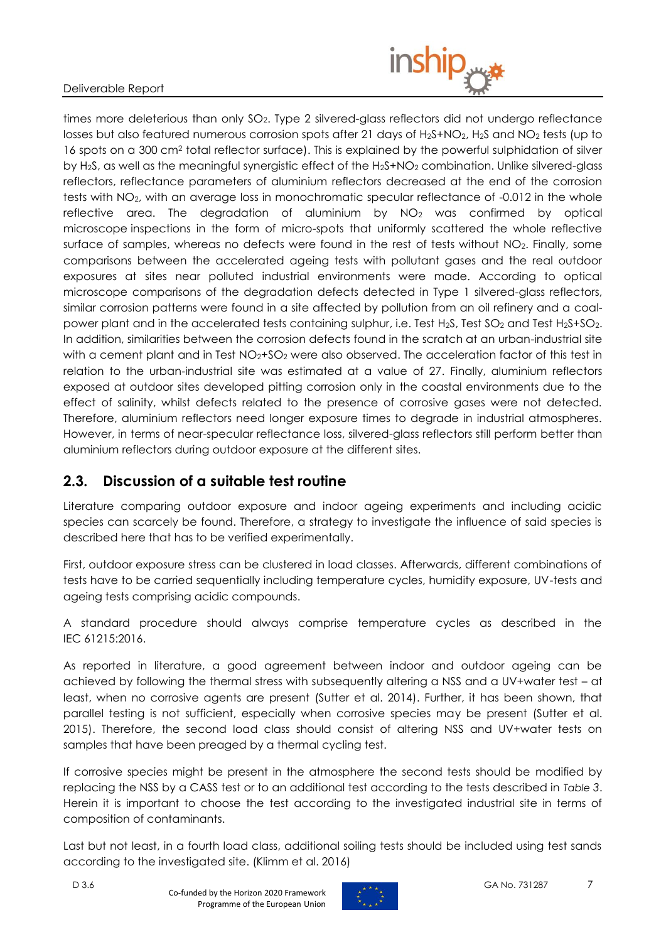

times more deleterious than only SO<sub>2</sub>. Type 2 silvered-glass reflectors did not undergo reflectance losses but also featured numerous corrosion spots after 21 days of H<sub>2</sub>S+NO<sub>2</sub>, H<sub>2</sub>S and NO<sub>2</sub> tests (up to 16 spots on a 300 cm<sup>2</sup> total reflector surface). This is explained by the powerful sulphidation of silver by H<sub>2</sub>S, as well as the meaningful synergistic effect of the H<sub>2</sub>S+NO<sub>2</sub> combination. Unlike silvered-glass reflectors, reflectance parameters of aluminium reflectors decreased at the end of the corrosion tests with NO<sub>2</sub>, with an average loss in monochromatic specular reflectance of -0.012 in the whole reflective area. The degradation of aluminium by NO<sub>2</sub> was confirmed by optical microscope inspections in the form of micro-spots that uniformly scattered the whole reflective surface of samples, whereas no defects were found in the rest of tests without NO<sub>2</sub>. Finally, some comparisons between the accelerated ageing tests with pollutant gases and the real outdoor exposures at sites near polluted industrial environments were made. According to optical microscope comparisons of the degradation defects detected in Type 1 silvered-glass reflectors, similar corrosion patterns were found in a site affected by pollution from an oil refinery and a coalpower plant and in the accelerated tests containing sulphur, i.e. Test H<sub>2</sub>S, Test SO<sub>2</sub> and Test H<sub>2</sub>S+SO<sub>2</sub>. In addition, similarities between the corrosion defects found in the scratch at an urban-industrial site with a cement plant and in Test  $NO<sub>2</sub>+SO<sub>2</sub>$  were also observed. The acceleration factor of this test in relation to the urban-industrial site was estimated at a value of 27. Finally, aluminium reflectors exposed at outdoor sites developed pitting corrosion only in the coastal environments due to the effect of salinity, whilst defects related to the presence of corrosive gases were not detected. Therefore, aluminium reflectors need longer exposure times to degrade in industrial atmospheres. However, in terms of near-specular reflectance loss, silvered-glass reflectors still perform better than aluminium reflectors during outdoor exposure at the different sites.

### <span id="page-6-0"></span>**2.3. Discussion of a suitable test routine**

Literature comparing outdoor exposure and indoor ageing experiments and including acidic species can scarcely be found. Therefore, a strategy to investigate the influence of said species is described here that has to be verified experimentally.

First, outdoor exposure stress can be clustered in load classes. Afterwards, different combinations of tests have to be carried sequentially including temperature cycles, humidity exposure, UV-tests and ageing tests comprising acidic compounds.

A standard procedure should always comprise temperature cycles as described in the IEC 61215:2016.

As reported in literature, a good agreement between indoor and outdoor ageing can be achieved by following the thermal stress with subsequently altering a NSS and a UV+water test – at least, when no corrosive agents are present (Sutter et al. 2014). Further, it has been shown, that parallel testing is not sufficient, especially when corrosive species may be present (Sutter et al. 2015). Therefore, the second load class should consist of altering NSS and UV+water tests on samples that have been preaged by a thermal cycling test.

If corrosive species might be present in the atmosphere the second tests should be modified by replacing the NSS by a CASS test or to an additional test according to the tests described in *[Table](#page-4-1) 3*. Herein it is important to choose the test according to the investigated industrial site in terms of composition of contaminants.

Last but not least, in a fourth load class, additional soiling tests should be included using test sands according to the investigated site. (Klimm et al. 2016)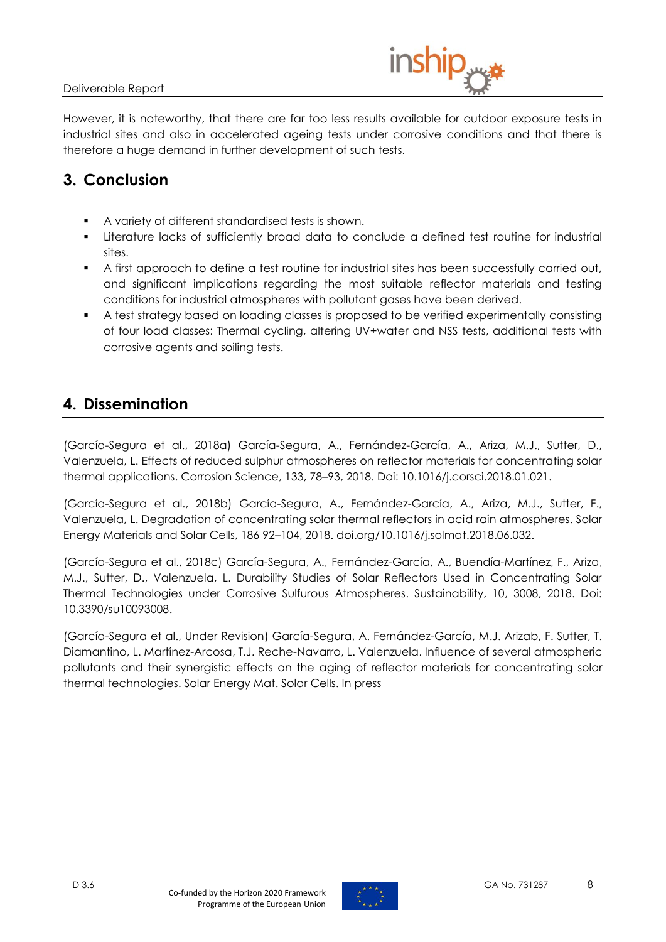

However, it is noteworthy, that there are far too less results available for outdoor exposure tests in industrial sites and also in accelerated ageing tests under corrosive conditions and that there is therefore a huge demand in further development of such tests.

# <span id="page-7-0"></span>**3. Conclusion**

- A variety of different standardised tests is shown.
- Literature lacks of sufficiently broad data to conclude a defined test routine for industrial sites.
- A first approach to define a test routine for industrial sites has been successfully carried out, and significant implications regarding the most suitable reflector materials and testing conditions for industrial atmospheres with pollutant gases have been derived.
- A test strategy based on loading classes is proposed to be verified experimentally consisting of four load classes: Thermal cycling, altering UV+water and NSS tests, additional tests with corrosive agents and soiling tests.

### <span id="page-7-1"></span>**4. Dissemination**

(García-Segura et al., 2018a) García-Segura, A., Fernández-García, A., Ariza, M.J., Sutter, D., Valenzuela, L. Effects of reduced sulphur atmospheres on reflector materials for concentrating solar thermal applications. Corrosion Science, 133, 78–93, 2018. Doi: 10.1016/j.corsci.2018.01.021.

(García-Segura et al., 2018b) García-Segura, A., Fernández-García, A., Ariza, M.J., Sutter, F., Valenzuela, L. Degradation of concentrating solar thermal reflectors in acid rain atmospheres. Solar Energy Materials and Solar Cells, 186 92–104, 2018. doi.org/10.1016/j.solmat.2018.06.032.

(García-Segura et al., 2018c) García-Segura, A., Fernández-García, A., Buendía-Martínez, F., Ariza, M.J., Sutter, D., Valenzuela, L. Durability Studies of Solar Reflectors Used in Concentrating Solar Thermal Technologies under Corrosive Sulfurous Atmospheres. Sustainability, 10, 3008, 2018. Doi: 10.3390/su10093008.

(García-Segura et al., Under Revision) García-Segura, A. Fernández-García, M.J. Arizab, F. Sutter, T. Diamantino, L. Martínez-Arcosa, T.J. Reche-Navarro, L. Valenzuela. Influence of several atmospheric pollutants and their synergistic effects on the aging of reflector materials for concentrating solar thermal technologies. Solar Energy Mat. Solar Cells. In press